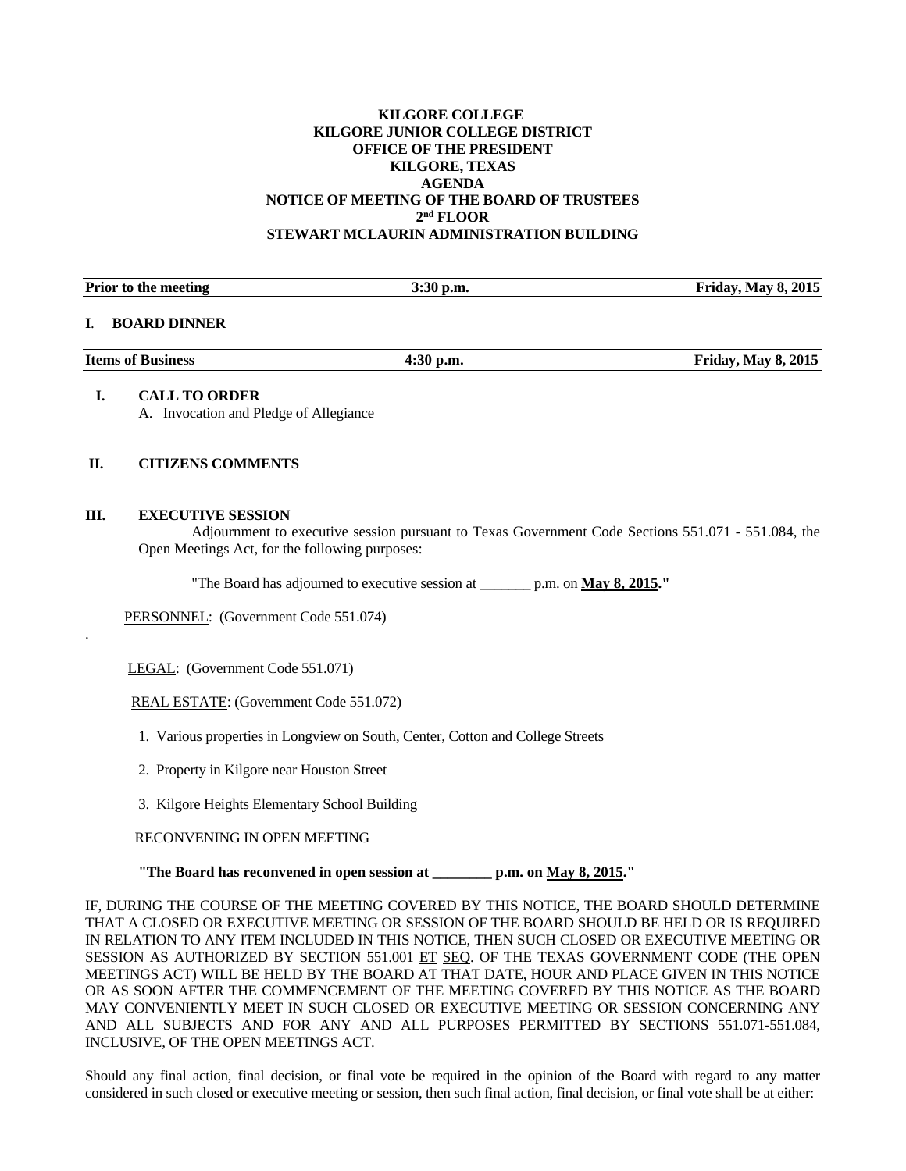## **KILGORE COLLEGE KILGORE JUNIOR COLLEGE DISTRICT OFFICE OF THE PRESIDENT KILGORE, TEXAS AGENDA NOTICE OF MEETING OF THE BOARD OF TRUSTEES 2nd FLOOR STEWART MCLAURIN ADMINISTRATION BUILDING**

| <b>Prior to the meeting</b>                                    | $3:30$ p.m. | <b>Friday, May 8, 2015</b> |
|----------------------------------------------------------------|-------------|----------------------------|
| <b>BOARD DINNER</b>                                            |             |                            |
| <b>Items of Business</b>                                       | $4:30$ p.m. | <b>Friday, May 8, 2015</b> |
| <b>CALL TO ORDER</b><br>A. Invocation and Pledge of Allegiance |             |                            |

### **II. CITIZENS COMMENTS**

#### **III. EXECUTIVE SESSION**

.

 Adjournment to executive session pursuant to Texas Government Code Sections 551.071 - 551.084, the Open Meetings Act, for the following purposes:

"The Board has adjourned to executive session at \_\_\_\_\_\_\_ p.m. on **May 8, 2015."** 

PERSONNEL: (Government Code 551.074)

LEGAL: (Government Code 551.071)

REAL ESTATE: (Government Code 551.072)

1. Various properties in Longview on South, Center, Cotton and College Streets

2. Property in Kilgore near Houston Street

3. Kilgore Heights Elementary School Building

RECONVENING IN OPEN MEETING

 **"The Board has reconvened in open session at \_\_\_\_\_\_\_\_ p.m. on May 8, 2015."** 

IF, DURING THE COURSE OF THE MEETING COVERED BY THIS NOTICE, THE BOARD SHOULD DETERMINE THAT A CLOSED OR EXECUTIVE MEETING OR SESSION OF THE BOARD SHOULD BE HELD OR IS REQUIRED IN RELATION TO ANY ITEM INCLUDED IN THIS NOTICE, THEN SUCH CLOSED OR EXECUTIVE MEETING OR SESSION AS AUTHORIZED BY SECTION 551.001 ET SEQ. OF THE TEXAS GOVERNMENT CODE (THE OPEN MEETINGS ACT) WILL BE HELD BY THE BOARD AT THAT DATE, HOUR AND PLACE GIVEN IN THIS NOTICE OR AS SOON AFTER THE COMMENCEMENT OF THE MEETING COVERED BY THIS NOTICE AS THE BOARD MAY CONVENIENTLY MEET IN SUCH CLOSED OR EXECUTIVE MEETING OR SESSION CONCERNING ANY AND ALL SUBJECTS AND FOR ANY AND ALL PURPOSES PERMITTED BY SECTIONS 551.071-551.084, INCLUSIVE, OF THE OPEN MEETINGS ACT.

Should any final action, final decision, or final vote be required in the opinion of the Board with regard to any matter considered in such closed or executive meeting or session, then such final action, final decision, or final vote shall be at either: